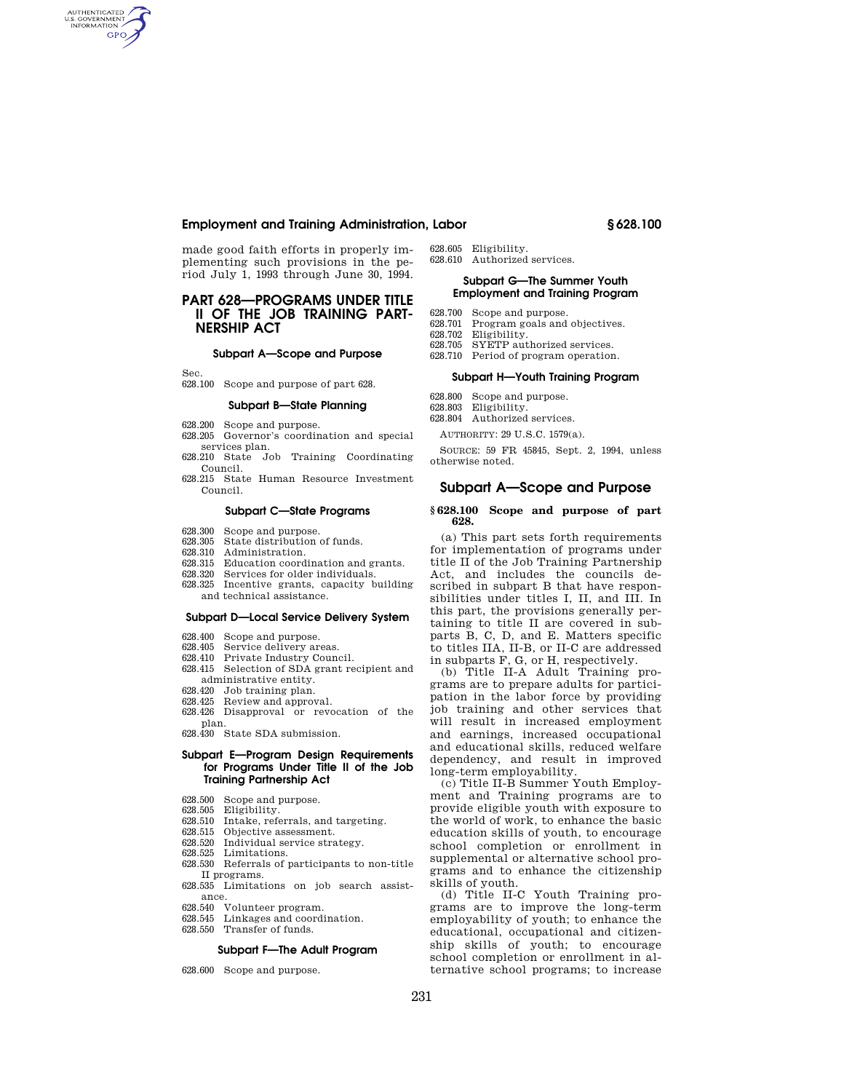# **Employment and Training Administration, Labor § 628.100**

made good faith efforts in properly implementing such provisions in the period July 1, 1993 through June 30, 1994.

# **PART 628—PROGRAMS UNDER TITLE II OF THE JOB TRAINING PART-NERSHIP ACT**

#### **Subpart A—Scope and Purpose**

Sec.

AUTHENTICATED<br>U.S. GOVERNMENT<br>INFORMATION **GPO** 

628.100 Scope and purpose of part 628.

# **Subpart B—State Planning**

- 628.200 Scope and purpose. 628.205 Governor's coordination and special services plan.
- 628.210 State Job Training Coordinating Council.
- 628.215 State Human Resource Investment Council.

#### **Subpart C—State Programs**

- 628.300 Scope and purpose.<br>628.305 State distribution
- State distribution of funds.
- 628.310 Administration.
- 628.315 Education coordination and grants.<br>628.320 Services for older individuals
- Services for older individuals.
- 628.325 Incentive grants, capacity building and technical assistance.

#### **Subpart D—Local Service Delivery System**

- 628.400 Scope and purpose.<br>628.405 Service delivery are
- Service delivery areas.
- 628.410 Private Industry Council.
- 628.415 Selection of SDA grant recipient and administrative entity.
- 628.420 Job training plan.
- 628.425 Review and approval.
- 628.426 Disapproval or revocation of the plan.
- 628.430 State SDA submission.

### **Subpart E—Program Design Requirements for Programs Under Title II of the Job Training Partnership Act**

- 628.500 Scope and purpose.<br>628.505 Eligibility.
- Eligibility.
- 628.510 Intake, referrals, and targeting.
- 628.515 Objective assessment.
- 628.520 Individual service strategy.
- 628.525 Limitations.
- 628.530 Referrals of participants to non-title II programs.
- 628.535 Limitations on job search assistance.
- 628.540 Volunteer program.
- Linkages and coordination. 628.550 Transfer of funds.

# **Subpart F—The Adult Program**

628.600 Scope and purpose.

- 628.605 Eligibility.
- 628.610 Authorized services.

## **Subpart G—The Summer Youth Employment and Training Program**

- 628.700 Scope and purpose.
- 628.701 Program goals and objectives.
- 628.702 Eligibility. 628.705 SYETP authorized services.
- 628.710 Period of program operation.
	- **Subpart H—Youth Training Program**
- 
- 628.800 Scope and purpose. 628.803 Eligibility.
- 628.804 Authorized services.

AUTHORITY: 29 U.S.C. 1579(a).

SOURCE: 59 FR 45845, Sept. 2, 1994, unless otherwise noted.

# **Subpart A—Scope and Purpose**

#### **§ 628.100 Scope and purpose of part 628.**

(a) This part sets forth requirements for implementation of programs under title II of the Job Training Partnership Act, and includes the councils described in subpart B that have responsibilities under titles I, II, and III. In this part, the provisions generally pertaining to title II are covered in subparts B, C, D, and E. Matters specific to titles IIA, II-B, or II-C are addressed in subparts F, G, or H, respectively.

(b) Title II-A Adult Training programs are to prepare adults for participation in the labor force by providing job training and other services that will result in increased employment and earnings, increased occupational and educational skills, reduced welfare dependency, and result in improved long-term employability.

(c) Title II-B Summer Youth Employment and Training programs are to provide eligible youth with exposure to the world of work, to enhance the basic education skills of youth, to encourage school completion or enrollment in supplemental or alternative school programs and to enhance the citizenship skills of youth.

(d) Title II-C Youth Training programs are to improve the long-term employability of youth; to enhance the educational, occupational and citizenship skills of youth; to encourage school completion or enrollment in alternative school programs; to increase